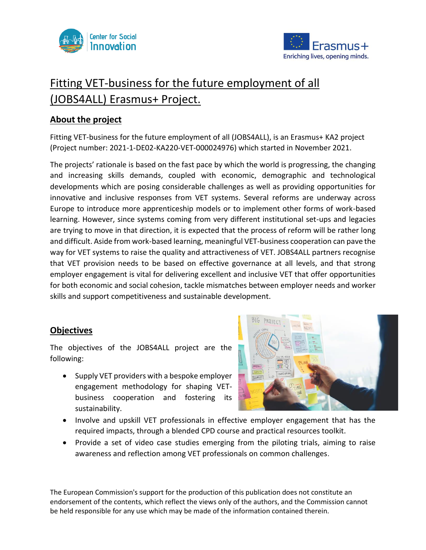



# Fitting VET-business for the future employment of all (JOBS4ALL) Erasmus+ Project.

# **About the project**

Fitting VET-business for the future employment of all (JOBS4ALL), is an Erasmus+ KA2 project (Project number: 2021-1-DE02-KA220-VET-000024976) which started in November 2021.

The projects' rationale is based on the fast pace by which the world is progressing, the changing and increasing skills demands, coupled with economic, demographic and technological developments which are posing considerable challenges as well as providing opportunities for innovative and inclusive responses from VET systems. Several reforms are underway across Europe to introduce more apprenticeship models or to implement other forms of work-based learning. However, since systems coming from very different institutional set-ups and legacies are trying to move in that direction, it is expected that the process of reform will be rather long and difficult. Aside from work-based learning, meaningful VET-business cooperation can pave the way for VET systems to raise the quality and attractiveness of VET. JOBS4ALL partners recognise that VET provision needs to be based on effective governance at all levels, and that strong employer engagement is vital for delivering excellent and inclusive VET that offer opportunities for both economic and social cohesion, tackle mismatches between employer needs and worker skills and support competitiveness and sustainable development.

# **Objectives**

The objectives of the JOBS4ALL project are the following:

• Supply VET providers with a bespoke employer engagement methodology for shaping VETbusiness cooperation and fostering its sustainability.



- Involve and upskill VET professionals in effective employer engagement that has the required impacts, through a blended CPD course and practical resources toolkit.
- Provide a set of video case studies emerging from the piloting trials, aiming to raise awareness and reflection among VET professionals on common challenges.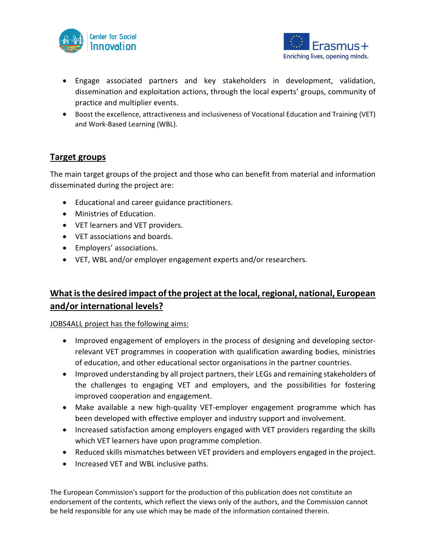



- Engage associated partners and key stakeholders in development, validation, dissemination and exploitation actions, through the local experts' groups, community of practice and multiplier events.
- Boost the excellence, attractiveness and inclusiveness of Vocational Education and Training (VET) and Work-Based Learning (WBL).

# **Target groups**

The main target groups of the project and those who can benefit from material and information disseminated during the project are:

- Educational and career guidance practitioners.
- Ministries of Education.
- VET learners and VET providers.
- VET associations and boards.
- Employers' associations.
- VET, WBL and/or employer engagement experts and/or researchers.

# **What is the desired impact of the project at the local, regional, national, European and/or international levels?**

JOBS4ALL project has the following aims:

- Improved engagement of employers in the process of designing and developing sectorrelevant VET programmes in cooperation with qualification awarding bodies, ministries of education, and other educational sector organisations in the partner countries.
- Improved understanding by all project partners, their LEGs and remaining stakeholders of the challenges to engaging VET and employers, and the possibilities for fostering improved cooperation and engagement.
- Make available a new high-quality VET-employer engagement programme which has been developed with effective employer and industry support and involvement.
- Increased satisfaction among employers engaged with VET providers regarding the skills which VET learners have upon programme completion.
- Reduced skills mismatches between VET providers and employers engaged in the project.
- Increased VET and WBL inclusive paths.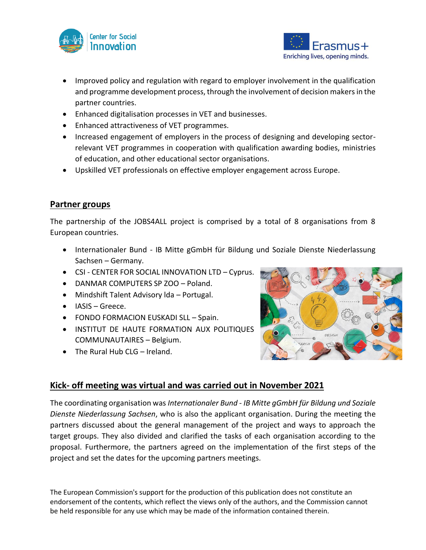



- Improved policy and regulation with regard to employer involvement in the qualification and programme development process, through the involvement of decision makers in the partner countries.
- Enhanced digitalisation processes in VET and businesses.
- Enhanced attractiveness of VET programmes.
- Increased engagement of employers in the process of designing and developing sectorrelevant VET programmes in cooperation with qualification awarding bodies, ministries of education, and other educational sector organisations.
- Upskilled VET professionals on effective employer engagement across Europe.

# **Partner groups**

The partnership of the JOBS4ALL project is comprised by a total of 8 organisations from 8 European countries.

- Internationaler Bund IB Mitte gGmbH für Bildung und Soziale Dienste Niederlassung Sachsen – Germany.
- CSI CENTER FOR SOCIAL INNOVATION LTD Cyprus.
- DANMAR COMPUTERS SP ZOO Poland.
- Mindshift Talent Advisory lda Portugal.
- IASIS Greece.
- FONDO FORMACION EUSKADI SLL Spain.
- INSTITUT DE HAUTE FORMATION AUX POLITIQUES COMMUNAUTAIRES – Belgium.
- The Rural Hub CLG Ireland.



# **Kick- off meeting was virtual and was carried out in November 2021**

The coordinating organisation was *Internationaler Bund - IB Mitte gGmbH für Bildung und Soziale Dienste Niederlassung Sachsen*, who is also the applicant organisation. During the meeting the partners discussed about the general management of the project and ways to approach the target groups. They also divided and clarified the tasks of each organisation according to the proposal. Furthermore, the partners agreed on the implementation of the first steps of the project and set the dates for the upcoming partners meetings.